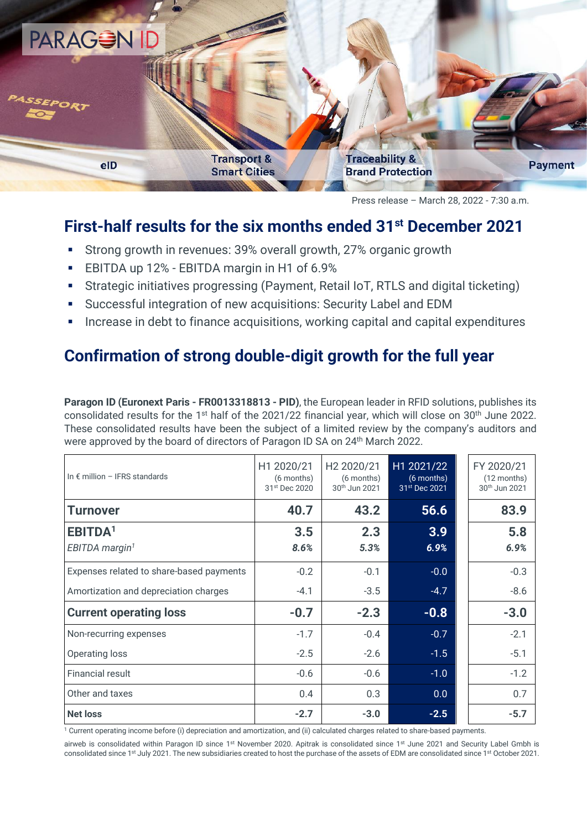

Press release – March 28, 2022 - 7:30 a.m.

## **First-half results for the six months ended 31st December 2021**

- Strong growth in revenues: 39% overall growth, 27% organic growth
- EBITDA up 12% EBITDA margin in H1 of 6.9%
- **EXTERGERY INTERGERY IS STATE III STATE:** Strategic initiatives progressing (Payment, Retail IoT, RTLS and digital ticketing)
- Successful integration of new acquisitions: Security Label and EDM
- Increase in debt to finance acquisitions, working capital and capital expenditures

# **Confirmation of strong double-digit growth for the full year**

**Paragon ID (Euronext Paris - FR0013318813 - PID)**, the European leader in RFID solutions, publishes its consolidated results for the 1<sup>st</sup> half of the 2021/22 financial year, which will close on 30<sup>th</sup> June 2022. These consolidated results have been the subject of a limited review by the company's auditors and were approved by the board of directors of Paragon ID SA on 24th March 2022.

| In $\epsilon$ million - IFRS standards   | H1 2020/21<br>(6 months)<br>31st Dec 2020 | H <sub>2</sub> 2020/21<br>(6 months)<br>30th Jun 2021 | H1 2021/22<br>$(6$ months)<br>31st Dec 2021 | FY 2020/21<br>$(12$ months)<br>30th Jun 2021 |
|------------------------------------------|-------------------------------------------|-------------------------------------------------------|---------------------------------------------|----------------------------------------------|
| Turnover                                 | 40.7                                      | 43.2                                                  | 56.6                                        | 83.9                                         |
| EBITDA <sup>1</sup>                      | 3.5                                       | 2.3                                                   | 3.9                                         | 5.8                                          |
| EBITDA margin <sup>1</sup>               | 8.6%                                      | 5.3%                                                  | 6.9%                                        | 6.9%                                         |
| Expenses related to share-based payments | $-0.2$                                    | $-0.1$                                                | $-0.0$                                      | $-0.3$                                       |
| Amortization and depreciation charges    | $-4.1$                                    | $-3.5$                                                | $-4.7$                                      | $-8.6$                                       |
| <b>Current operating loss</b>            | $-0.7$                                    | $-2.3$                                                | $-0.8$                                      | $-3.0$                                       |
| Non-recurring expenses                   | $-1.7$                                    | $-0.4$                                                | $-0.7$                                      | $-2.1$                                       |
| Operating loss                           | $-2.5$                                    | $-2.6$                                                | $-1.5$                                      | $-5.1$                                       |
| <b>Financial result</b>                  | $-0.6$                                    | $-0.6$                                                | $-1.0$                                      | $-1.2$                                       |
| Other and taxes                          | 0.4                                       | 0.3                                                   | 0.0                                         | 0.7                                          |
| <b>Net loss</b>                          | $-2.7$                                    | $-3.0$                                                | $-2.5$                                      | $-5.7$                                       |

<sup>1</sup> Current operating income before (i) depreciation and amortization, and (ii) calculated charges related to share-based payments.

airweb is consolidated within Paragon ID since 1<sup>st</sup> November 2020. Apitrak is consolidated since 1<sup>st</sup> June 2021 and Security Label Gmbh is consolidated since 1<sup>st</sup> July 2021. The new subsidiaries created to host the purchase of the assets of EDM are consolidated since 1<sup>st</sup> October 2021.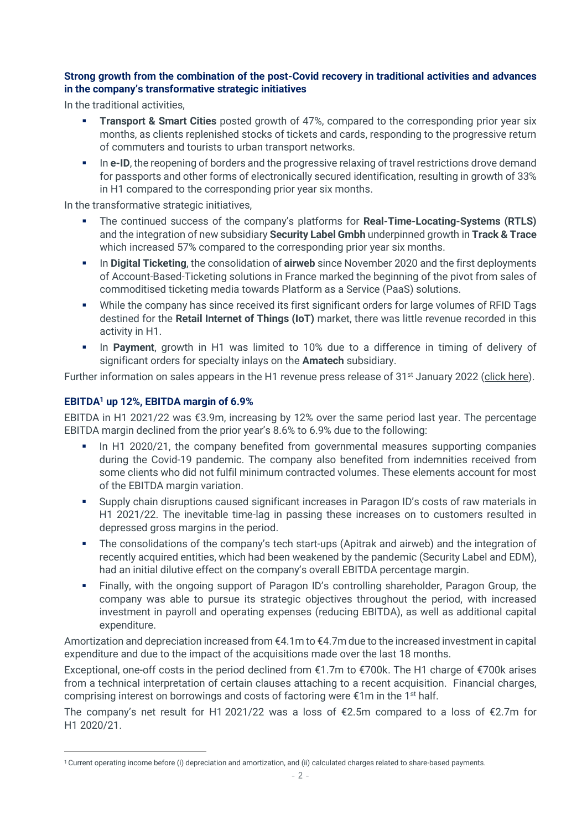#### **Strong growth from the combination of the post-Covid recovery in traditional activities and advances in the company's transformative strategic initiatives**

In the traditional activities,

- **Transport & Smart Cities** posted growth of 47%, compared to the corresponding prior year six months, as clients replenished stocks of tickets and cards, responding to the progressive return of commuters and tourists to urban transport networks.
- **In e-ID**, the reopening of borders and the progressive relaxing of travel restrictions drove demand for passports and other forms of electronically secured identification, resulting in growth of 33% in H1 compared to the corresponding prior year six months.

In the transformative strategic initiatives,

- The continued success of the company's platforms for **Real-Time-Locating-Systems (RTLS)** and the integration of new subsidiary **Security Label Gmbh** underpinned growth in **Track & Trace** which increased 57% compared to the corresponding prior year six months.
- In **Digital Ticketing**, the consolidation of **airweb** since November 2020 and the first deployments of Account-Based-Ticketing solutions in France marked the beginning of the pivot from sales of commoditised ticketing media towards Platform as a Service (PaaS) solutions.
- While the company has since received its first significant orders for large volumes of RFID Tags destined for the **Retail Internet of Things (IoT)** market, there was little revenue recorded in this activity in H1.
- In **Payment**, growth in H1 was limited to 10% due to a difference in timing of delivery of significant orders for specialty inlays on the **Amatech** subsidiary.

Further information on sales appears in the H1 revenue press release of  $31<sup>st</sup>$  January 2022 [\(click here\)](https://www.actusnews.com/documents_communiques/ACTUS-0-73003-paragon-id_pr_turnover-h1-202122_20220131_en.pdf).

### **EBITDA<sup>1</sup> up 12%, EBITDA margin of 6.9%**

EBITDA in H1 2021/22 was €3.9m, increasing by 12% over the same period last year. The percentage EBITDA margin declined from the prior year's 8.6% to 6.9% due to the following:

- **•** In H1 2020/21, the company benefited from governmental measures supporting companies during the Covid-19 pandemic. The company also benefited from indemnities received from some clients who did not fulfil minimum contracted volumes. These elements account for most of the EBITDA margin variation.
- Supply chain disruptions caused significant increases in Paragon ID's costs of raw materials in H1 2021/22. The inevitable time-lag in passing these increases on to customers resulted in depressed gross margins in the period.
- **•** The consolidations of the company's tech start-ups (Apitrak and airweb) and the integration of recently acquired entities, which had been weakened by the pandemic (Security Label and EDM), had an initial dilutive effect on the company's overall EBITDA percentage margin.
- Finally, with the ongoing support of Paragon ID's controlling shareholder, Paragon Group, the company was able to pursue its strategic objectives throughout the period, with increased investment in payroll and operating expenses (reducing EBITDA), as well as additional capital expenditure.

Amortization and depreciation increased from €4.1m to €4.7m due to the increased investment in capital expenditure and due to the impact of the acquisitions made over the last 18 months.

Exceptional, one-off costs in the period declined from €1.7m to €700k. The H1 charge of €700k arises from a technical interpretation of certain clauses attaching to a recent acquisition. Financial charges, comprising interest on borrowings and costs of factoring were  $\epsilon$ 1m in the 1<sup>st</sup> half.

The company's net result for H1 2021/22 was a loss of €2.5m compared to a loss of €2.7m for H1 2020/21.

<sup>1</sup> Current operating income before (i) depreciation and amortization, and (ii) calculated charges related to share-based payments.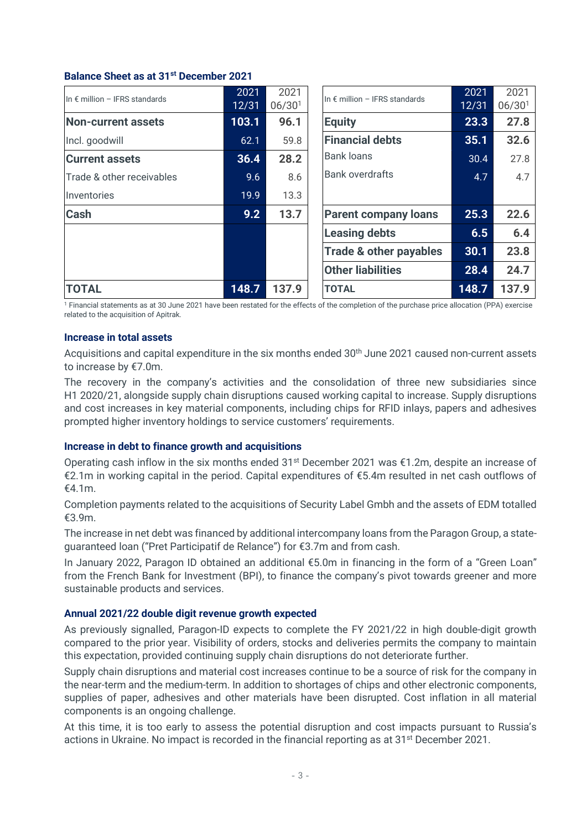#### **Balance Sheet as at 31st December 2021**

| In $\epsilon$ million - IFRS standards | 2021  | 2021               | In $\epsilon$ million - IFRS standards | 2021  | 2021               |
|----------------------------------------|-------|--------------------|----------------------------------------|-------|--------------------|
|                                        | 12/31 | 06/30 <sup>1</sup> |                                        | 12/31 | 06/30 <sup>1</sup> |
| <b>Non-current assets</b>              | 103.1 | 96.1               | <b>Equity</b>                          | 23.3  | 27.8               |
| Incl. goodwill                         | 62.1  | 59.8               | <b>Financial debts</b>                 | 35.1  | 32.6               |
| <b>Current assets</b>                  | 36.4  | 28.2               | <b>Bank loans</b>                      | 30.4  | 27.8               |
| Trade & other receivables              | 9.6   | 8.6                | <b>Bank overdrafts</b>                 | 4.7   | 4.7                |
| Inventories                            | 19.9  | 13.3               |                                        |       |                    |
| <b>Cash</b>                            | 9.2   | 13.7               | <b>Parent company loans</b>            | 25.3  | 22.6               |
|                                        |       |                    | <b>Leasing debts</b>                   | 6.5   | 6.4                |
|                                        |       |                    | <b>Trade &amp; other payables</b>      | 30.1  | 23.8               |
|                                        |       |                    | <b>Other liabilities</b>               | 28.4  | 24.7               |
| <b>TOTAL</b>                           | 148.7 | 137.9              | <b>TOTAL</b>                           | 148.7 | 137.9              |

<sup>1</sup> Financial statements as at 30 June 2021 have been restated for the effects of the completion of the purchase price allocation (PPA) exercise related to the acquisition of Apitrak.

#### **Increase in total assets**

Acquisitions and capital expenditure in the six months ended 30<sup>th</sup> June 2021 caused non-current assets to increase by €7.0m.

The recovery in the company's activities and the consolidation of three new subsidiaries since H1 2020/21, alongside supply chain disruptions caused working capital to increase. Supply disruptions and cost increases in key material components, including chips for RFID inlays, papers and adhesives prompted higher inventory holdings to service customers' requirements.

#### **Increase in debt to finance growth and acquisitions**

Operating cash inflow in the six months ended  $31^{st}$  December 2021 was  $\epsilon$ 1.2m, despite an increase of €2.1m in working capital in the period. Capital expenditures of €5.4m resulted in net cash outflows of €4.1m.

Completion payments related to the acquisitions of Security Label Gmbh and the assets of EDM totalled €3.9m.

The increase in net debt was financed by additional intercompany loans from the Paragon Group, a stateguaranteed loan ("Pret Participatif de Relance") for €3.7m and from cash.

In January 2022, Paragon ID obtained an additional €5.0m in financing in the form of a "Green Loan" from the French Bank for Investment (BPI), to finance the company's pivot towards greener and more sustainable products and services.

#### **Annual 2021/22 double digit revenue growth expected**

As previously signalled, Paragon-ID expects to complete the FY 2021/22 in high double-digit growth compared to the prior year. Visibility of orders, stocks and deliveries permits the company to maintain this expectation, provided continuing supply chain disruptions do not deteriorate further.

Supply chain disruptions and material cost increases continue to be a source of risk for the company in the near-term and the medium-term. In addition to shortages of chips and other electronic components, supplies of paper, adhesives and other materials have been disrupted. Cost inflation in all material components is an ongoing challenge.

At this time, it is too early to assess the potential disruption and cost impacts pursuant to Russia's actions in Ukraine. No impact is recorded in the financial reporting as at 31<sup>st</sup> December 2021.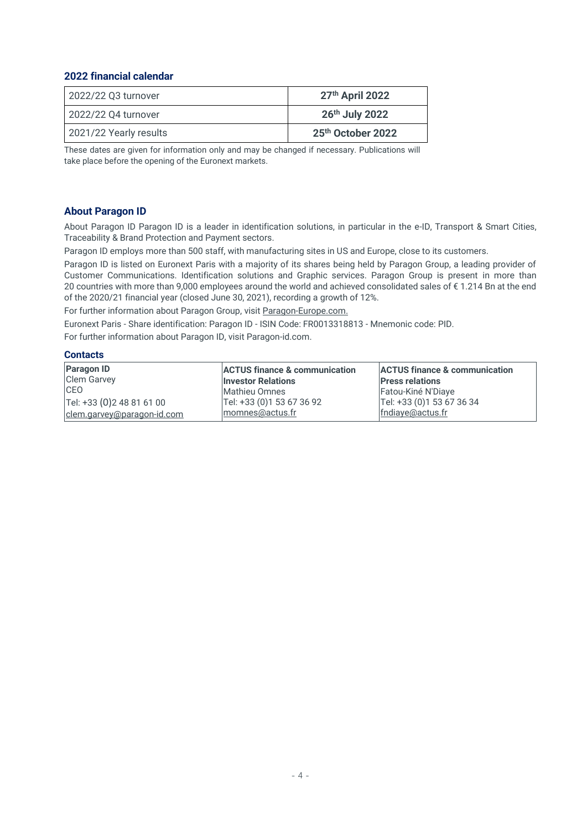#### **2022 financial calendar**

| 2022/22 Q3 turnover    | 27th April 2022   |
|------------------------|-------------------|
| 2022/22 Q4 turnover    | 26th July 2022    |
| 2021/22 Yearly results | 25th October 2022 |

These dates are given for information only and may be changed if necessary. Publications will take place before the opening of the Euronext markets.

#### **About Paragon ID**

About Paragon ID Paragon ID is a leader in identification solutions, in particular in the e-ID, Transport & Smart Cities, Traceability & Brand Protection and Payment sectors.

Paragon ID employs more than 500 staff, with manufacturing sites in US and Europe, close to its customers.

Paragon ID is listed on Euronext Paris with a majority of its shares being held by Paragon Group, a leading provider of Customer Communications. Identification solutions and Graphic services. Paragon Group is present in more than 20 countries with more than 9,000 employees around the world and achieved consolidated sales of € 1.214 Bn at the end of the 2020/21 financial year (closed June 30, 2021), recording a growth of 12%.

For further information about Paragon Group, visi[t Paragon-Europe.com.](https://www.paragon-europe.com/en)

Euronext Paris - Share identification: Paragon ID - ISIN Code: FR0013318813 - Mnemonic code: PID.

For further information about Paragon ID, visit Paragon-id.com.

#### **Contacts**

| <b>Paragon ID</b><br><b>Clem Garvey</b> | <b>ACTUS finance &amp; communication</b><br><b>Investor Relations</b> | <b>ACTUS finance &amp; communication</b><br><b>Press relations</b> |
|-----------------------------------------|-----------------------------------------------------------------------|--------------------------------------------------------------------|
| <b>CEO</b>                              | Mathieu Omnes                                                         | Fatou-Kiné N'Diaye                                                 |
| Tel: +33 (0) 2 48 81 61 00              | Tel: +33 (0)1 53 67 36 92                                             | Tel: +33 (0) 1 53 67 36 34                                         |
| clem.garvey@paragon-id.com              | momnes@actus.fr                                                       | fndiaye@actus.fr                                                   |